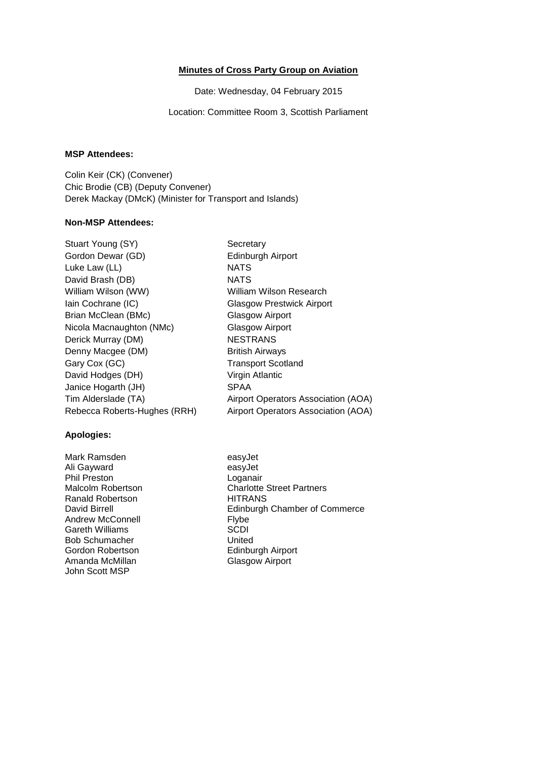# **Minutes of Cross Party Group on Aviation**

Date: Wednesday, 04 February 2015

Location: Committee Room 3, Scottish Parliament

### **MSP Attendees:**

Colin Keir (CK) (Convener) Chic Brodie (CB) (Deputy Convener) Derek Mackay (DMcK) (Minister for Transport and Islands)

### **Non-MSP Attendees:**

| Secretary                           |
|-------------------------------------|
| Edinburgh Airport                   |
| <b>NATS</b>                         |
| <b>NATS</b>                         |
| William Wilson Research             |
| Glasgow Prestwick Airport           |
| Glasgow Airport                     |
| Glasgow Airport                     |
| <b>NESTRANS</b>                     |
| <b>British Airways</b>              |
| <b>Transport Scotland</b>           |
| Virgin Atlantic                     |
| <b>SPAA</b>                         |
| Airport Operators Association (AOA) |
| Airport Operators Association (AOA) |
|                                     |

#### **Apologies:**

Mark Ramsden easyJet Ali Gayward **easyJet** Phil Preston Loganair<br>
Malcolm Robertson Charlotte Ranald Robertson Andrew McConnell **Flybe**<br>
Gareth Williams
SCDI Gareth Williams<br>Bob Schumacher Manus (United Bob Schumacher<br>Gordon Robertson Gordon Robertson Edinburgh Airport John Scott MSP

Charlotte Street Partners<br>HITRANS David Birrell<br>
Andrew McConnell<br>
Elvbe<br>
Flybe<br>
Flybe **Glasgow Airport**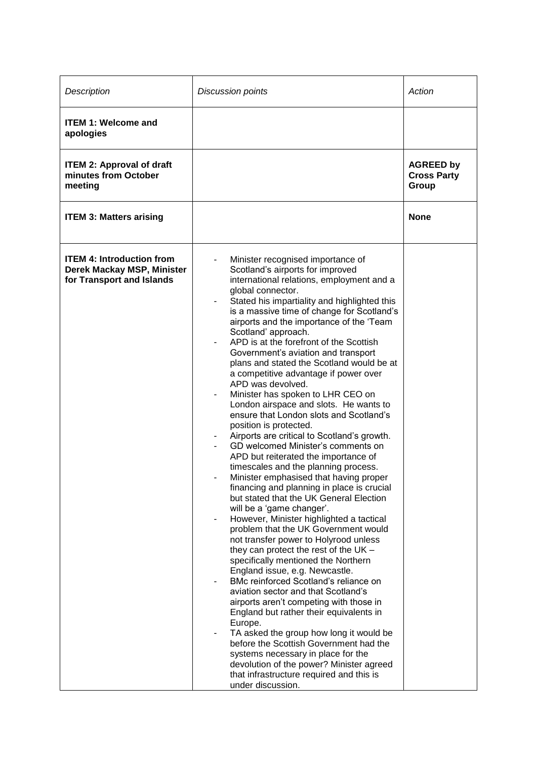| Description                                                                                 | <b>Discussion points</b>                                                                                                                                                                                                                                                                                                                                                                                                                                                                                                                                                                                                                                                                                                                                                                                                                                                                                                                                                                                                                                                                                                                                                                                                                                                                                                                                                                                                                                                                                                                                                                                                                                               | Action                                          |
|---------------------------------------------------------------------------------------------|------------------------------------------------------------------------------------------------------------------------------------------------------------------------------------------------------------------------------------------------------------------------------------------------------------------------------------------------------------------------------------------------------------------------------------------------------------------------------------------------------------------------------------------------------------------------------------------------------------------------------------------------------------------------------------------------------------------------------------------------------------------------------------------------------------------------------------------------------------------------------------------------------------------------------------------------------------------------------------------------------------------------------------------------------------------------------------------------------------------------------------------------------------------------------------------------------------------------------------------------------------------------------------------------------------------------------------------------------------------------------------------------------------------------------------------------------------------------------------------------------------------------------------------------------------------------------------------------------------------------------------------------------------------------|-------------------------------------------------|
| <b>ITEM 1: Welcome and</b><br>apologies                                                     |                                                                                                                                                                                                                                                                                                                                                                                                                                                                                                                                                                                                                                                                                                                                                                                                                                                                                                                                                                                                                                                                                                                                                                                                                                                                                                                                                                                                                                                                                                                                                                                                                                                                        |                                                 |
| <b>ITEM 2: Approval of draft</b><br>minutes from October<br>meeting                         |                                                                                                                                                                                                                                                                                                                                                                                                                                                                                                                                                                                                                                                                                                                                                                                                                                                                                                                                                                                                                                                                                                                                                                                                                                                                                                                                                                                                                                                                                                                                                                                                                                                                        | <b>AGREED by</b><br><b>Cross Party</b><br>Group |
| <b>ITEM 3: Matters arising</b>                                                              |                                                                                                                                                                                                                                                                                                                                                                                                                                                                                                                                                                                                                                                                                                                                                                                                                                                                                                                                                                                                                                                                                                                                                                                                                                                                                                                                                                                                                                                                                                                                                                                                                                                                        | <b>None</b>                                     |
| <b>ITEM 4: Introduction from</b><br>Derek Mackay MSP, Minister<br>for Transport and Islands | Minister recognised importance of<br>Scotland's airports for improved<br>international relations, employment and a<br>global connector.<br>Stated his impartiality and highlighted this<br>is a massive time of change for Scotland's<br>airports and the importance of the 'Team<br>Scotland' approach.<br>APD is at the forefront of the Scottish<br>Government's aviation and transport<br>plans and stated the Scotland would be at<br>a competitive advantage if power over<br>APD was devolved.<br>Minister has spoken to LHR CEO on<br>London airspace and slots. He wants to<br>ensure that London slots and Scotland's<br>position is protected.<br>Airports are critical to Scotland's growth.<br>GD welcomed Minister's comments on<br>APD but reiterated the importance of<br>timescales and the planning process.<br>Minister emphasised that having proper<br>financing and planning in place is crucial<br>but stated that the UK General Election<br>will be a 'game changer'.<br>However, Minister highlighted a tactical<br>problem that the UK Government would<br>not transfer power to Holyrood unless<br>they can protect the rest of the UK -<br>specifically mentioned the Northern<br>England issue, e.g. Newcastle.<br>BMc reinforced Scotland's reliance on<br>aviation sector and that Scotland's<br>airports aren't competing with those in<br>England but rather their equivalents in<br>Europe.<br>TA asked the group how long it would be<br>before the Scottish Government had the<br>systems necessary in place for the<br>devolution of the power? Minister agreed<br>that infrastructure required and this is<br>under discussion. |                                                 |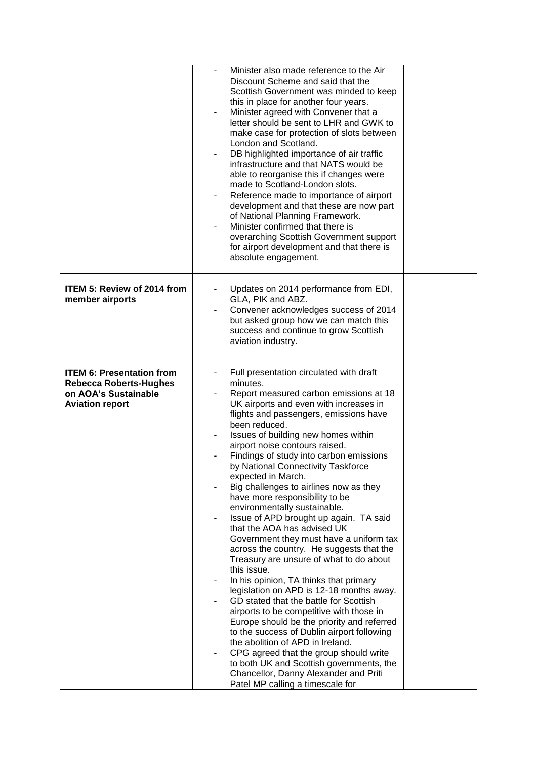|                                                                                                                     | Minister also made reference to the Air<br>Discount Scheme and said that the<br>Scottish Government was minded to keep<br>this in place for another four years.<br>Minister agreed with Convener that a<br>letter should be sent to LHR and GWK to<br>make case for protection of slots between<br>London and Scotland.<br>DB highlighted importance of air traffic<br>۰<br>infrastructure and that NATS would be<br>able to reorganise this if changes were<br>made to Scotland-London slots.<br>Reference made to importance of airport<br>development and that these are now part<br>of National Planning Framework.<br>Minister confirmed that there is<br>overarching Scottish Government support<br>for airport development and that there is<br>absolute engagement.                                                                                                                                                                                                                                                                                                                                                                                                                             |  |
|---------------------------------------------------------------------------------------------------------------------|---------------------------------------------------------------------------------------------------------------------------------------------------------------------------------------------------------------------------------------------------------------------------------------------------------------------------------------------------------------------------------------------------------------------------------------------------------------------------------------------------------------------------------------------------------------------------------------------------------------------------------------------------------------------------------------------------------------------------------------------------------------------------------------------------------------------------------------------------------------------------------------------------------------------------------------------------------------------------------------------------------------------------------------------------------------------------------------------------------------------------------------------------------------------------------------------------------|--|
| <b>ITEM 5: Review of 2014 from</b><br>member airports                                                               | Updates on 2014 performance from EDI,<br>GLA, PIK and ABZ.<br>Convener acknowledges success of 2014<br>but asked group how we can match this<br>success and continue to grow Scottish<br>aviation industry.                                                                                                                                                                                                                                                                                                                                                                                                                                                                                                                                                                                                                                                                                                                                                                                                                                                                                                                                                                                             |  |
| <b>ITEM 6: Presentation from</b><br><b>Rebecca Roberts-Hughes</b><br>on AOA's Sustainable<br><b>Aviation report</b> | Full presentation circulated with draft<br>minutes.<br>Report measured carbon emissions at 18<br>UK airports and even with increases in<br>flights and passengers, emissions have<br>been reduced.<br>Issues of building new homes within<br>airport noise contours raised.<br>Findings of study into carbon emissions<br>by National Connectivity Taskforce<br>expected in March.<br>Big challenges to airlines now as they<br>have more responsibility to be<br>environmentally sustainable.<br>Issue of APD brought up again. TA said<br>that the AOA has advised UK<br>Government they must have a uniform tax<br>across the country. He suggests that the<br>Treasury are unsure of what to do about<br>this issue.<br>In his opinion, TA thinks that primary<br>legislation on APD is 12-18 months away.<br>GD stated that the battle for Scottish<br>airports to be competitive with those in<br>Europe should be the priority and referred<br>to the success of Dublin airport following<br>the abolition of APD in Ireland.<br>CPG agreed that the group should write<br>to both UK and Scottish governments, the<br>Chancellor, Danny Alexander and Priti<br>Patel MP calling a timescale for |  |